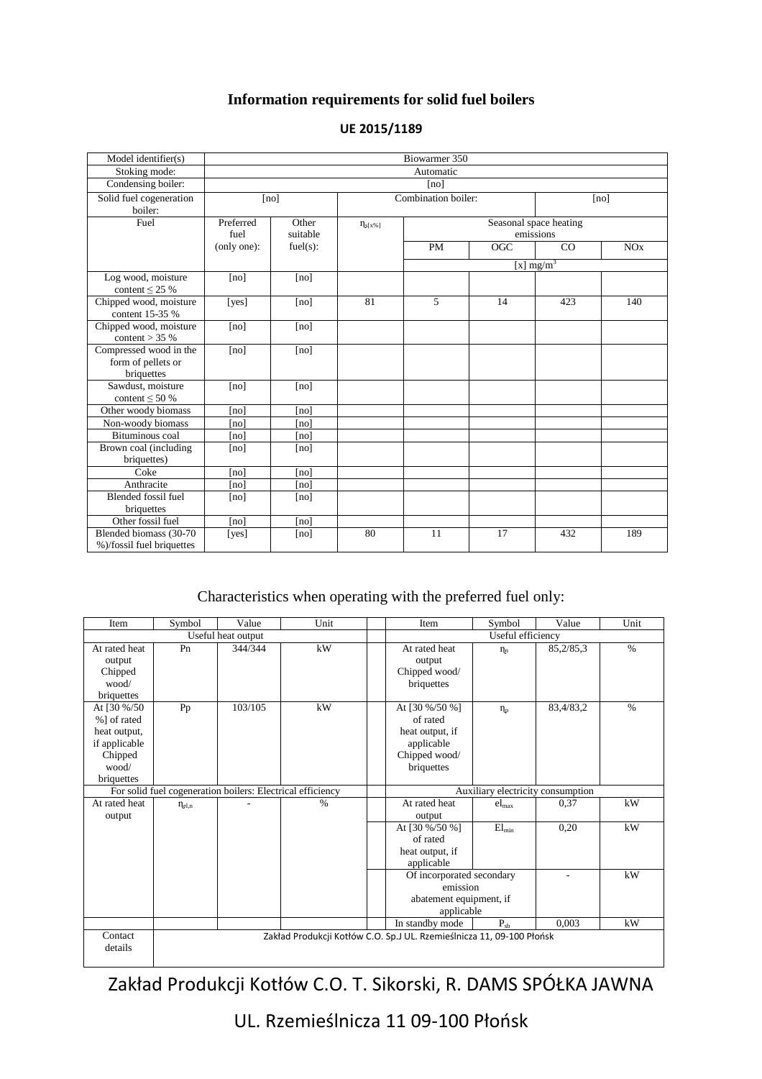## **Information requirements for solid fuel boilers**

| Model identifier(s)                                        | Biowarmer 350     |                   |                     |                                     |                  |              |     |
|------------------------------------------------------------|-------------------|-------------------|---------------------|-------------------------------------|------------------|--------------|-----|
| Stoking mode:                                              | Automatic         |                   |                     |                                     |                  |              |     |
| Condensing boiler:                                         | [no]              |                   |                     |                                     |                  |              |     |
| Solid fuel cogeneration<br>boiler:                         |                   | [no]              | Combination boiler: |                                     |                  | [no]         |     |
| Fuel                                                       | Preferred<br>fuel | Other<br>suitable | $\eta_{s[x\%]}$     | Seasonal space heating<br>emissions |                  |              |     |
|                                                            | (only one):       | fuel(s):          |                     | PM                                  | $\overline{OGC}$ | CO           | NOx |
|                                                            |                   |                   |                     |                                     |                  | [x] $mg/m^3$ |     |
| Log wood, moisture<br>content $\leq$ 25 %                  | [no]              | [no]              |                     |                                     |                  |              |     |
| Chipped wood, moisture<br>content 15-35 %                  | [yes]             | [no]              | 81                  | 5                                   | 14               | 423          | 140 |
| Chipped wood, moisture<br>content $>$ 35 %                 | [no]              | [no]              |                     |                                     |                  |              |     |
| Compressed wood in the<br>form of pellets or<br>briquettes | [no]              | [no]              |                     |                                     |                  |              |     |
| Sawdust, moisture<br>content $\leq 50\%$                   | [no]              | [no]              |                     |                                     |                  |              |     |
| Other woody biomass                                        | [no]              | [no]              |                     |                                     |                  |              |     |
| Non-woody biomass                                          | [no]              | [no]              |                     |                                     |                  |              |     |
| Bituminous coal                                            | [no]              | [no]              |                     |                                     |                  |              |     |
| Brown coal (including<br>briquettes)                       | [no]              | [no]              |                     |                                     |                  |              |     |
| Coke                                                       | [no]              | [no]              |                     |                                     |                  |              |     |
| Anthracite                                                 | [no]              | [no]              |                     |                                     |                  |              |     |
| <b>Blended fossil fuel</b><br>briquettes                   | [no]              | [no]              |                     |                                     |                  |              |     |
| Other fossil fuel                                          | [no]              | [no]              |                     |                                     |                  |              |     |
| Blended biomass (30-70<br>%)/fossil fuel briquettes        | [yes]             | [no]              | 80                  | 11                                  | 17               | 432          | 189 |

## **UE 2015/1189**

## Characteristics when operating with the preferred fuel only:

| Item                                                                                           | Symbol               | Value   | Unit                                                                  | Item                                                                                       | Symbol         | Value     | Unit          |  |
|------------------------------------------------------------------------------------------------|----------------------|---------|-----------------------------------------------------------------------|--------------------------------------------------------------------------------------------|----------------|-----------|---------------|--|
| Useful heat output                                                                             |                      |         |                                                                       | Useful efficiency                                                                          |                |           |               |  |
| At rated heat<br>output<br>Chipped<br>wood/<br>briquettes                                      | Pn                   | 344/344 | kW                                                                    | At rated heat<br>output<br>Chipped wood/<br>briquettes                                     | $\eta_n$       | 85,2/85,3 | $\frac{0}{0}$ |  |
| At [30 %/50]<br>%] of rated<br>heat output,<br>if applicable<br>Chipped<br>wood/<br>briquettes | Pp                   | 103/105 | kW                                                                    | At [30 %/50 %]<br>of rated<br>heat output, if<br>applicable<br>Chipped wood/<br>briquettes | $\eta_{\rm p}$ | 83,4/83,2 | $\frac{0}{0}$ |  |
| For solid fuel cogeneration boilers: Electrical efficiency                                     |                      |         | Auxiliary electricity consumption                                     |                                                                                            |                |           |               |  |
| At rated heat<br>output                                                                        | $\eta_{\text{el},n}$ |         | $\%$                                                                  | At rated heat<br>output                                                                    | $_{\rm elmax}$ | 0,37      | kW            |  |
|                                                                                                |                      |         |                                                                       | At [30 %/50 %]<br>of rated<br>heat output, if<br>applicable                                | $El_{\min}$    | 0,20      | kW            |  |
|                                                                                                |                      |         |                                                                       | Of incorporated secondary<br>emission<br>abatement equipment, if<br>applicable             |                | ÷         | kW            |  |
|                                                                                                |                      |         |                                                                       | In standby mode                                                                            | $P_{sh}$       | 0.003     | kW            |  |
| Contact<br>details                                                                             |                      |         | Zakład Produkcji Kotłów C.O. Sp.J UL. Rzemieślnicza 11, 09-100 Płońsk |                                                                                            |                |           |               |  |

Zakład Produkcji Kotłów C.O. T. Sikorski, R. DAMS SPÓŁKA JAWNA

UL. Rzemieślnicza 11 09-100 Płońsk